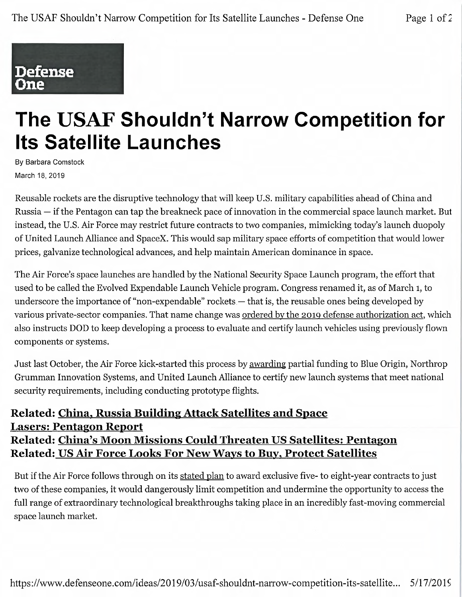## Defense **One**

## The USAF Shouldn't Narrow Competition for Its Satellite Launches

By Barbara Comstock March 18, 2019

Reusable rockets are the disruptive technology that will keep U.S. military capabilities ahead of China and Russia — if the Pentagon can tap the breakneck pace of innovation in the commercial space launch market. But instead, the U.S. Air Force may restrict future contracts to two companies, mimicking today's launch duopoly of United Launch Alliance and SpaceX. This would sap military space efforts of competition that would lower prices, galvanize technological advances, and help maintain American dominance in space.

The Air Force's space launches are handled by the National Security Space Launch program, the effort that used to be called the Evolved Expendable Launch Vehicle program. Congress renamed it, as of March 1, to underscore the importance of "non-expendable" rockets — that is, the reusable ones being developed by various private-sector companies. That name change was ordered by the 2019 defense authorization act, which also instructs DOD to keep developing a process to evaluate and certify launch vehicles using previously flown components or systems.

Just last October, the Air Force kick-started this process by awarding partial funding to Blue Origin, Northrop Grumman Innovation Systems, and United Launch Alliance to certify new launch systems that meet national security requirements, including conducting prototype flights.

## Related: China, Russia Building Attack Satellites and Space Lasers: Pentagon Report Related: China's Moon Missions Could Threaten US Satellites: Pentagon Related: US Air Force Looks For New Ways to Buy, Protect Satellites

But if the Air Force follows through on its stated plan to award exclusive five- to eight-year contracts to just two of these companies, it would dangerously limit competition and undermine the opportunity to access the full range of extraordinary technological breakthroughs taking place in an incredibly fast-moving commercial space launch market.